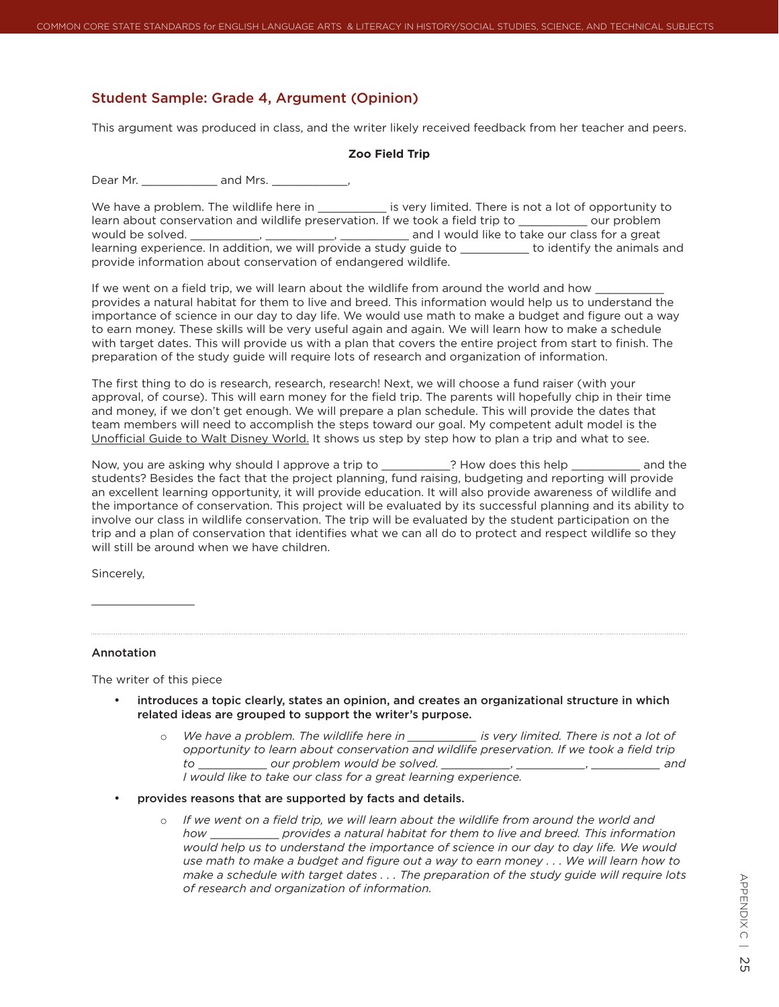## Student Sample: Grade 4, Argument (Opinion)

This argument was produced in class, and the writer likely received feedback from her teacher and peers.

## **Zoo Field Trip**

Dear Mr. \_\_\_\_\_\_\_\_\_\_\_\_\_\_\_ and Mrs. \_\_\_\_\_\_\_\_\_\_\_\_\_\_,

We have a problem. The wildlife here in The state is very limited. There is not a lot of opportunity to learn about conservation and wildlife preservation. If we took a field trip to \_\_\_\_\_\_\_\_\_\_\_ our problem would be solved. \_\_\_\_\_\_\_\_\_\_, \_\_\_\_\_\_\_\_\_\_, \_\_\_\_\_\_\_\_\_\_ and I would like to take our class for a great learning experience. In addition, we will provide a study guide to \_\_\_\_\_\_\_\_\_ to identify the animals and provide information about conservation of endangered wildlife.

If we went on a field trip, we will learn about the wildlife from around the world and how provides a natural habitat for them to live and breed. This information would help us to understand the importance of science in our day to day life. We would use math to make a budget and figure out a way to earn money. These skills will be very useful again and again. We will learn how to make a schedule with target dates. This will provide us with a plan that covers the entire project from start to finish. The preparation of the study guide will require lots of research and organization of information.

The first thing to do is research, research, research! Next, we will choose a fund raiser (with your approval, of course). This will earn money for the field trip. The parents will hopefully chip in their time and money, if we don't get enough. We will prepare a plan schedule. This will provide the dates that team members will need to accomplish the steps toward our goal. My competent adult model is the Unofficial Guide to Walt Disney World. It shows us step by step how to plan a trip and what to see.

Now, you are asking why should I approve a trip to \_\_\_\_\_\_\_\_\_\_? How does this help \_\_\_\_\_\_\_\_\_\_\_ and the students? Besides the fact that the project planning, fund raising, budgeting and reporting will provide an excellent learning opportunity, it will provide education. It will also provide awareness of wildlife and the importance of conservation. This project will be evaluated by its successful planning and its ability to involve our class in wildlife conservation. The trip will be evaluated by the student participation on the trip and a plan of conservation that identifies what we can all do to protect and respect wildlife so they will still be around when we have children.

Sincerely,

## Annotation

 $\_$ 

The writer of this piece

- introduces a topic clearly, states an opinion, and creates an organizational structure in which related ideas are grouped to support the writer's purpose.
	- o We have a problem. The wildlife here in \_\_\_\_\_\_\_\_\_\_\_ is very limited. There is not a lot of *opportunity to learn about conservation and wildlife preservation. If we took a field trip to* \_\_\_\_\_\_\_\_\_\_ *our problem would be solved. \_\_\_\_\_\_\_\_\_\_, \_\_\_\_\_\_\_\_\_\_, \_\_\_\_\_\_\_\_\_\_ and I would like to take our class for a great learning experience.*
- provides reasons that are supported by facts and details.
	- $\circ$  If we went on a field trip, we will learn about the wildlife from around the world and *how* \_\_\_\_\_\_\_\_\_\_ *provides a natural habitat for them to live and breed. This information would help us to understand the importance of science in our day to day life. We would use math to make a budget and figure out a way to earn money . . . We will learn how to make a schedule with target dates . . . The preparation of the study guide will require lots of research and organization of information.*